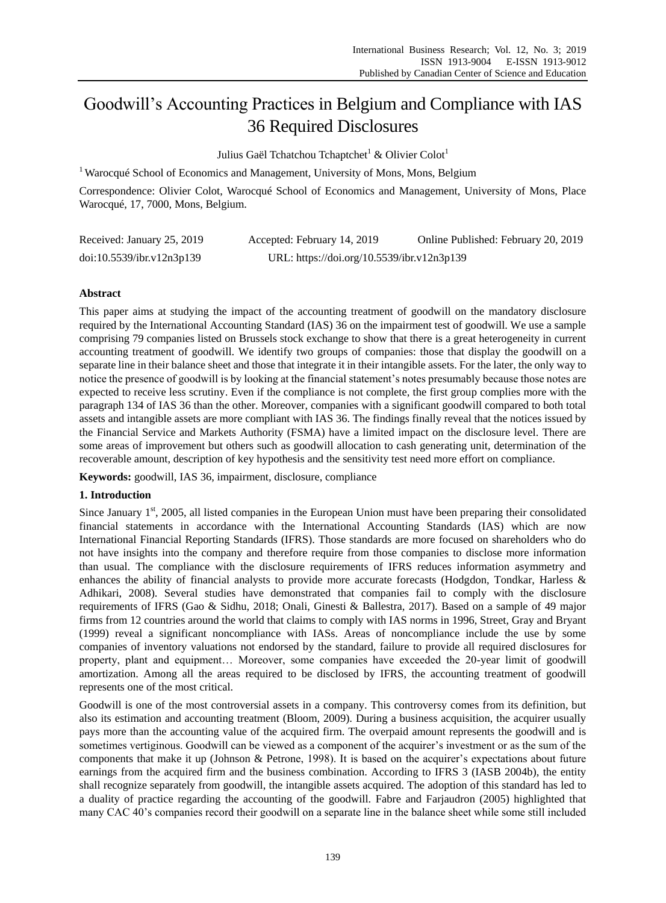# Goodwill's Accounting Practices in Belgium and Compliance with IAS 36 Required Disclosures

Julius Ga e Tchatchou Tchaptchet<sup>1</sup> & Olivier Colot<sup>1</sup>

<sup>1</sup> Warocqu éSchool of Economics and Management, University of Mons, Mons, Belgium

Correspondence: Olivier Colot, Warocqué School of Economics and Management, University of Mons, Place Warocqué, 17, 7000, Mons, Belgium.

| Received: January 25, 2019 | Accepted: February 14, 2019                | Online Published: February 20, 2019 |
|----------------------------|--------------------------------------------|-------------------------------------|
| doi:10.5539/ibr.v12n3p139  | URL: https://doi.org/10.5539/ibr.v12n3p139 |                                     |

# **Abstract**

This paper aims at studying the impact of the accounting treatment of goodwill on the mandatory disclosure required by the International Accounting Standard (IAS) 36 on the impairment test of goodwill. We use a sample comprising 79 companies listed on Brussels stock exchange to show that there is a great heterogeneity in current accounting treatment of goodwill. We identify two groups of companies: those that display the goodwill on a separate line in their balance sheet and those that integrate it in their intangible assets. For the later, the only way to notice the presence of goodwill is by looking at the financial statement's notes presumably because those notes are expected to receive less scrutiny. Even if the compliance is not complete, the first group complies more with the paragraph 134 of IAS 36 than the other. Moreover, companies with a significant goodwill compared to both total assets and intangible assets are more compliant with IAS 36. The findings finally reveal that the notices issued by the Financial Service and Markets Authority (FSMA) have a limited impact on the disclosure level. There are some areas of improvement but others such as goodwill allocation to cash generating unit, determination of the recoverable amount, description of key hypothesis and the sensitivity test need more effort on compliance.

**Keywords:** goodwill, IAS 36, impairment, disclosure, compliance

## **1. Introduction**

Since January 1st, 2005, all listed companies in the European Union must have been preparing their consolidated financial statements in accordance with the International Accounting Standards (IAS) which are now International Financial Reporting Standards (IFRS). Those standards are more focused on shareholders who do not have insights into the company and therefore require from those companies to disclose more information than usual. The compliance with the disclosure requirements of IFRS reduces information asymmetry and enhances the ability of financial analysts to provide more accurate forecasts (Hodgdon, Tondkar, Harless & Adhikari, 2008). Several studies have demonstrated that companies fail to comply with the disclosure requirements of IFRS (Gao & Sidhu, 2018; Onali, Ginesti & Ballestra, 2017). Based on a sample of 49 major firms from 12 countries around the world that claims to comply with IAS norms in 1996, Street, Gray and Bryant (1999) reveal a significant noncompliance with IASs. Areas of noncompliance include the use by some companies of inventory valuations not endorsed by the standard, failure to provide all required disclosures for property, plant and equipment… Moreover, some companies have exceeded the 20-year limit of goodwill amortization. Among all the areas required to be disclosed by IFRS, the accounting treatment of goodwill represents one of the most critical.

Goodwill is one of the most controversial assets in a company. This controversy comes from its definition, but also its estimation and accounting treatment (Bloom, 2009). During a business acquisition, the acquirer usually pays more than the accounting value of the acquired firm. The overpaid amount represents the goodwill and is sometimes vertiginous. Goodwill can be viewed as a component of the acquirer's investment or as the sum of the components that make it up (Johnson & Petrone, 1998). It is based on the acquirer's expectations about future earnings from the acquired firm and the business combination. According to IFRS 3 (IASB 2004b), the entity shall recognize separately from goodwill, the intangible assets acquired. The adoption of this standard has led to a duality of practice regarding the accounting of the goodwill. Fabre and Farjaudron (2005) highlighted that many CAC 40's companies record their goodwill on a separate line in the balance sheet while some still included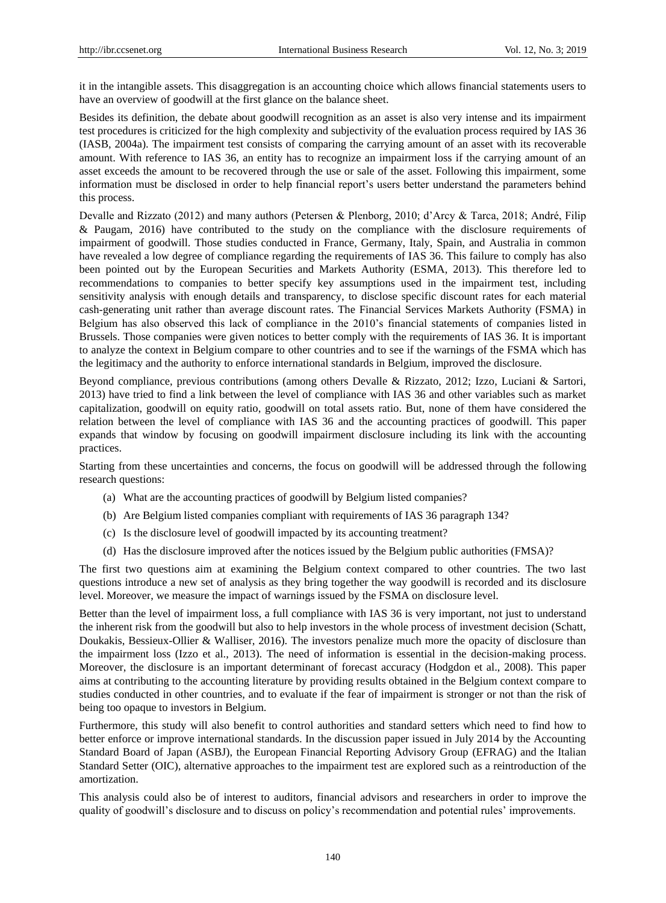it in the intangible assets. This disaggregation is an accounting choice which allows financial statements users to have an overview of goodwill at the first glance on the balance sheet.

Besides its definition, the debate about goodwill recognition as an asset is also very intense and its impairment test procedures is criticized for the high complexity and subjectivity of the evaluation process required by IAS 36 (IASB, 2004a). The impairment test consists of comparing the carrying amount of an asset with its recoverable amount. With reference to IAS 36, an entity has to recognize an impairment loss if the carrying amount of an asset exceeds the amount to be recovered through the use or sale of the asset. Following this impairment, some information must be disclosed in order to help financial report's users better understand the parameters behind this process.

Devalle and Rizzato (2012) and many authors (Petersen & Plenborg, 2010; d'Arcy & Tarca, 2018; André, Filip & Paugam, 2016) have contributed to the study on the compliance with the disclosure requirements of impairment of goodwill. Those studies conducted in France, Germany, Italy, Spain, and Australia in common have revealed a low degree of compliance regarding the requirements of IAS 36. This failure to comply has also been pointed out by the European Securities and Markets Authority (ESMA, 2013). This therefore led to recommendations to companies to better specify key assumptions used in the impairment test, including sensitivity analysis with enough details and transparency, to disclose specific discount rates for each material cash-generating unit rather than average discount rates. The Financial Services Markets Authority (FSMA) in Belgium has also observed this lack of compliance in the 2010's financial statements of companies listed in Brussels. Those companies were given notices to better comply with the requirements of IAS 36. It is important to analyze the context in Belgium compare to other countries and to see if the warnings of the FSMA which has the legitimacy and the authority to enforce international standards in Belgium, improved the disclosure.

Beyond compliance, previous contributions (among others Devalle & Rizzato, 2012; Izzo, Luciani & Sartori, 2013) have tried to find a link between the level of compliance with IAS 36 and other variables such as market capitalization, goodwill on equity ratio, goodwill on total assets ratio. But, none of them have considered the relation between the level of compliance with IAS 36 and the accounting practices of goodwill. This paper expands that window by focusing on goodwill impairment disclosure including its link with the accounting practices.

Starting from these uncertainties and concerns, the focus on goodwill will be addressed through the following research questions:

- (a) What are the accounting practices of goodwill by Belgium listed companies?
- (b) Are Belgium listed companies compliant with requirements of IAS 36 paragraph 134?
- (c) Is the disclosure level of goodwill impacted by its accounting treatment?
- (d) Has the disclosure improved after the notices issued by the Belgium public authorities (FMSA)?

The first two questions aim at examining the Belgium context compared to other countries. The two last questions introduce a new set of analysis as they bring together the way goodwill is recorded and its disclosure level. Moreover, we measure the impact of warnings issued by the FSMA on disclosure level.

Better than the level of impairment loss, a full compliance with IAS 36 is very important, not just to understand the inherent risk from the goodwill but also to help investors in the whole process of investment decision (Schatt, Doukakis, Bessieux-Ollier & Walliser, 2016). The investors penalize much more the opacity of disclosure than the impairment loss (Izzo et al., 2013). The need of information is essential in the decision-making process. Moreover, the disclosure is an important determinant of forecast accuracy (Hodgdon et al., 2008). This paper aims at contributing to the accounting literature by providing results obtained in the Belgium context compare to studies conducted in other countries, and to evaluate if the fear of impairment is stronger or not than the risk of being too opaque to investors in Belgium.

Furthermore, this study will also benefit to control authorities and standard setters which need to find how to better enforce or improve international standards. In the discussion paper issued in July 2014 by the Accounting Standard Board of Japan (ASBJ), the European Financial Reporting Advisory Group (EFRAG) and the Italian Standard Setter (OIC), alternative approaches to the impairment test are explored such as a reintroduction of the amortization.

This analysis could also be of interest to auditors, financial advisors and researchers in order to improve the quality of goodwill's disclosure and to discuss on policy's recommendation and potential rules' improvements.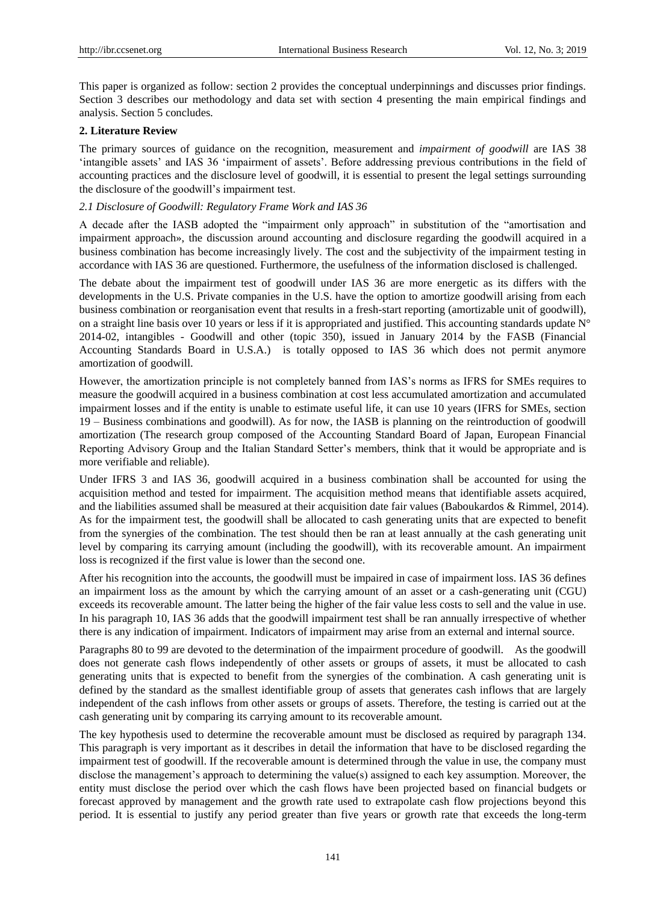This paper is organized as follow: section 2 provides the conceptual underpinnings and discusses prior findings. Section 3 describes our methodology and data set with section 4 presenting the main empirical findings and analysis. Section 5 concludes.

# **2. Literature Review**

The primary sources of guidance on the recognition, measurement and *impairment of goodwill* are IAS 38 ‗intangible assets' and IAS 36 ‗impairment of assets'. Before addressing previous contributions in the field of accounting practices and the disclosure level of goodwill, it is essential to present the legal settings surrounding the disclosure of the goodwill's impairment test.

# *2.1 Disclosure of Goodwill: Regulatory Frame Work and IAS 36*

A decade after the IASB adopted the "impairment only approach" in substitution of the "amortisation and impairment approach», the discussion around accounting and disclosure regarding the goodwill acquired in a business combination has become increasingly lively. The cost and the subjectivity of the impairment testing in accordance with IAS 36 are questioned. Furthermore, the usefulness of the information disclosed is challenged.

The debate about the impairment test of goodwill under IAS 36 are more energetic as its differs with the developments in the U.S. Private companies in the U.S. have the option to amortize goodwill arising from each business combination or reorganisation event that results in a fresh-start reporting (amortizable unit of goodwill), on a straight line basis over 10 years or less if it is appropriated and justified. This accounting standards update  $N^{\circ}$ 2014-02, intangibles - Goodwill and other (topic 350), issued in January 2014 by the FASB (Financial Accounting Standards Board in U.S.A.) is totally opposed to IAS 36 which does not permit anymore amortization of goodwill.

However, the amortization principle is not completely banned from IAS's norms as IFRS for SMEs requires to measure the goodwill acquired in a business combination at cost less accumulated amortization and accumulated impairment losses and if the entity is unable to estimate useful life, it can use 10 years (IFRS for SMEs, section 19 – Business combinations and goodwill). As for now, the IASB is planning on the reintroduction of goodwill amortization (The research group composed of the Accounting Standard Board of Japan, European Financial Reporting Advisory Group and the Italian Standard Setter's members, think that it would be appropriate and is more verifiable and reliable).

Under IFRS 3 and IAS 36, goodwill acquired in a business combination shall be accounted for using the acquisition method and tested for impairment. The acquisition method means that identifiable assets acquired, and the liabilities assumed shall be measured at their acquisition date fair values (Baboukardos & Rimmel, 2014). As for the impairment test, the goodwill shall be allocated to cash generating units that are expected to benefit from the synergies of the combination. The test should then be ran at least annually at the cash generating unit level by comparing its carrying amount (including the goodwill), with its recoverable amount. An impairment loss is recognized if the first value is lower than the second one.

After his recognition into the accounts, the goodwill must be impaired in case of impairment loss. IAS 36 defines an impairment loss as the amount by which the carrying amount of an asset or a cash-generating unit (CGU) exceeds its recoverable amount. The latter being the higher of the fair value less costs to sell and the value in use. In his paragraph 10, IAS 36 adds that the goodwill impairment test shall be ran annually irrespective of whether there is any indication of impairment. Indicators of impairment may arise from an external and internal source.

Paragraphs 80 to 99 are devoted to the determination of the impairment procedure of goodwill. As the goodwill does not generate cash flows independently of other assets or groups of assets, it must be allocated to cash generating units that is expected to benefit from the synergies of the combination. A cash generating unit is defined by the standard as the smallest identifiable group of assets that generates cash inflows that are largely independent of the cash inflows from other assets or groups of assets. Therefore, the testing is carried out at the cash generating unit by comparing its carrying amount to its recoverable amount.

The key hypothesis used to determine the recoverable amount must be disclosed as required by paragraph 134. This paragraph is very important as it describes in detail the information that have to be disclosed regarding the impairment test of goodwill. If the recoverable amount is determined through the value in use, the company must disclose the management's approach to determining the value(s) assigned to each key assumption. Moreover, the entity must disclose the period over which the cash flows have been projected based on financial budgets or forecast approved by management and the growth rate used to extrapolate cash flow projections beyond this period. It is essential to justify any period greater than five years or growth rate that exceeds the long-term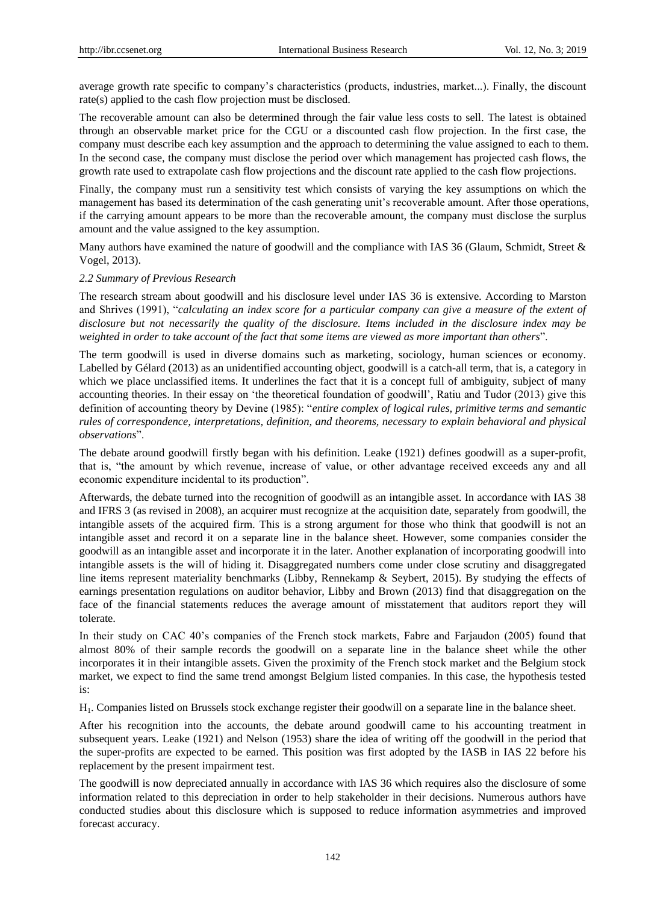average growth rate specific to company's characteristics (products, industries, market...). Finally, the discount rate(s) applied to the cash flow projection must be disclosed.

The recoverable amount can also be determined through the fair value less costs to sell. The latest is obtained through an observable market price for the CGU or a discounted cash flow projection. In the first case, the company must describe each key assumption and the approach to determining the value assigned to each to them. In the second case, the company must disclose the period over which management has projected cash flows, the growth rate used to extrapolate cash flow projections and the discount rate applied to the cash flow projections.

Finally, the company must run a sensitivity test which consists of varying the key assumptions on which the management has based its determination of the cash generating unit's recoverable amount. After those operations, if the carrying amount appears to be more than the recoverable amount, the company must disclose the surplus amount and the value assigned to the key assumption.

Many authors have examined the nature of goodwill and the compliance with IAS 36 (Glaum, Schmidt, Street & Vogel, 2013).

# *2.2 Summary of Previous Research*

The research stream about goodwill and his disclosure level under IAS 36 is extensive. According to Marston and Shrives (1991), "*calculating an index score for a particular company can give a measure of the extent of disclosure but not necessarily the quality of the disclosure. Items included in the disclosure index may be*  weighted in order to take account of the fact that some items are viewed as more important than others".

The term goodwill is used in diverse domains such as marketing, sociology, human sciences or economy. Labelled by G dard (2013) as an unidentified accounting object, goodwill is a catch-all term, that is, a category in which we place unclassified items. It underlines the fact that it is a concept full of ambiguity, subject of many accounting theories. In their essay on 'the theoretical foundation of goodwill', Ratiu and Tudor (2013) give this definition of accounting theory by Devine (1985): "*entire complex of logical rules, primitive terms and semantic rules of correspondence, interpretations, definition, and theorems, necessary to explain behavioral and physical observations*‖.

The debate around goodwill firstly began with his definition. Leake (1921) defines goodwill as a super-profit, that is, "the amount by which revenue, increase of value, or other advantage received exceeds any and all economic expenditure incidental to its production".

Afterwards, the debate turned into the recognition of goodwill as an intangible asset. In accordance with IAS 38 and IFRS 3 (as revised in 2008), an acquirer must recognize at the acquisition date, separately from goodwill, the intangible assets of the acquired firm. This is a strong argument for those who think that goodwill is not an intangible asset and record it on a separate line in the balance sheet. However, some companies consider the goodwill as an intangible asset and incorporate it in the later. Another explanation of incorporating goodwill into intangible assets is the will of hiding it. Disaggregated numbers come under close scrutiny and disaggregated line items represent materiality benchmarks (Libby, Rennekamp & Seybert, 2015). By studying the effects of earnings presentation regulations on auditor behavior, Libby and Brown (2013) find that disaggregation on the face of the financial statements reduces the average amount of misstatement that auditors report they will tolerate.

In their study on CAC 40's companies of the French stock markets, Fabre and Farjaudon (2005) found that almost 80% of their sample records the goodwill on a separate line in the balance sheet while the other incorporates it in their intangible assets. Given the proximity of the French stock market and the Belgium stock market, we expect to find the same trend amongst Belgium listed companies. In this case, the hypothesis tested is:

H1. Companies listed on Brussels stock exchange register their goodwill on a separate line in the balance sheet.

After his recognition into the accounts, the debate around goodwill came to his accounting treatment in subsequent years. Leake (1921) and Nelson (1953) share the idea of writing off the goodwill in the period that the super-profits are expected to be earned. This position was first adopted by the IASB in IAS 22 before his replacement by the present impairment test.

The goodwill is now depreciated annually in accordance with IAS 36 which requires also the disclosure of some information related to this depreciation in order to help stakeholder in their decisions. Numerous authors have conducted studies about this disclosure which is supposed to reduce information asymmetries and improved forecast accuracy.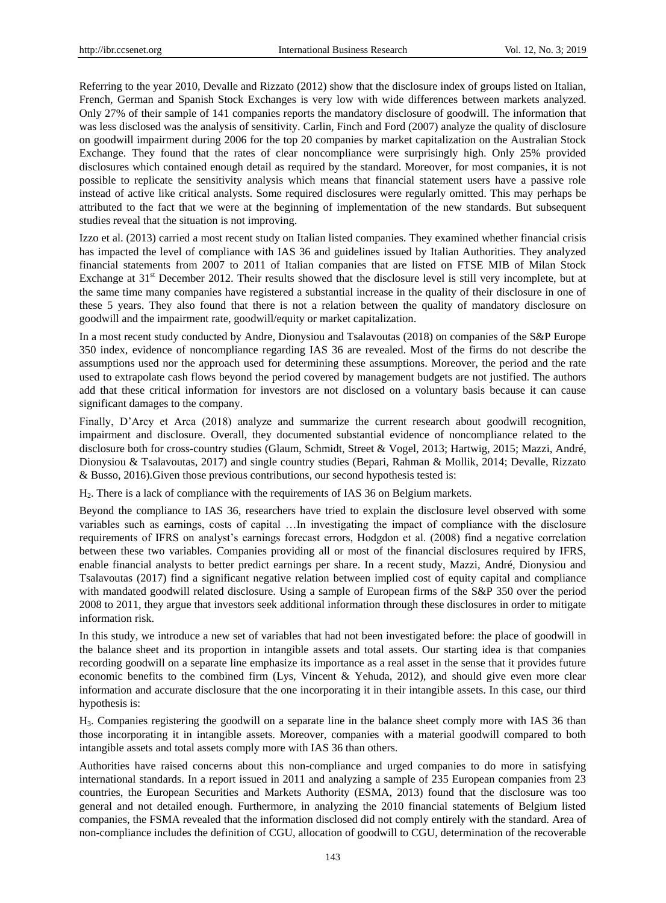Referring to the year 2010, Devalle and Rizzato (2012) show that the disclosure index of groups listed on Italian, French, German and Spanish Stock Exchanges is very low with wide differences between markets analyzed. Only 27% of their sample of 141 companies reports the mandatory disclosure of goodwill. The information that was less disclosed was the analysis of sensitivity. Carlin, Finch and Ford (2007) analyze the quality of disclosure on goodwill impairment during 2006 for the top 20 companies by market capitalization on the Australian Stock Exchange. They found that the rates of clear noncompliance were surprisingly high. Only 25% provided disclosures which contained enough detail as required by the standard. Moreover, for most companies, it is not possible to replicate the sensitivity analysis which means that financial statement users have a passive role instead of active like critical analysts. Some required disclosures were regularly omitted. This may perhaps be attributed to the fact that we were at the beginning of implementation of the new standards. But subsequent studies reveal that the situation is not improving.

Izzo et al. (2013) carried a most recent study on Italian listed companies. They examined whether financial crisis has impacted the level of compliance with IAS 36 and guidelines issued by Italian Authorities. They analyzed financial statements from 2007 to 2011 of Italian companies that are listed on FTSE MIB of Milan Stock Exchange at 31<sup>st</sup> December 2012. Their results showed that the disclosure level is still very incomplete, but at the same time many companies have registered a substantial increase in the quality of their disclosure in one of these 5 years. They also found that there is not a relation between the quality of mandatory disclosure on goodwill and the impairment rate, goodwill/equity or market capitalization.

In a most recent study conducted by Andre, Dionysiou and Tsalavoutas (2018) on companies of the S&P Europe 350 index, evidence of noncompliance regarding IAS 36 are revealed. Most of the firms do not describe the assumptions used nor the approach used for determining these assumptions. Moreover, the period and the rate used to extrapolate cash flows beyond the period covered by management budgets are not justified. The authors add that these critical information for investors are not disclosed on a voluntary basis because it can cause significant damages to the company.

Finally, D'Arcy et Arca (2018) analyze and summarize the current research about goodwill recognition, impairment and disclosure. Overall, they documented substantial evidence of noncompliance related to the disclosure both for cross-country studies (Glaum, Schmidt, Street & Vogel, 2013; Hartwig, 2015; Mazzi, André, Dionysiou & Tsalavoutas, 2017) and single country studies (Bepari, Rahman & Mollik, 2014; Devalle, Rizzato & Busso, 2016).Given those previous contributions, our second hypothesis tested is:

H2. There is a lack of compliance with the requirements of IAS 36 on Belgium markets.

Beyond the compliance to IAS 36, researchers have tried to explain the disclosure level observed with some variables such as earnings, costs of capital …In investigating the impact of compliance with the disclosure requirements of IFRS on analyst's earnings forecast errors, Hodgdon et al. (2008) find a negative correlation between these two variables. Companies providing all or most of the financial disclosures required by IFRS, enable financial analysts to better predict earnings per share. In a recent study, Mazzi, André, Dionysiou and Tsalavoutas (2017) find a significant negative relation between implied cost of equity capital and compliance with mandated goodwill related disclosure. Using a sample of European firms of the S&P 350 over the period 2008 to 2011, they argue that investors seek additional information through these disclosures in order to mitigate information risk.

In this study, we introduce a new set of variables that had not been investigated before: the place of goodwill in the balance sheet and its proportion in intangible assets and total assets. Our starting idea is that companies recording goodwill on a separate line emphasize its importance as a real asset in the sense that it provides future economic benefits to the combined firm (Lys, Vincent & Yehuda, 2012), and should give even more clear information and accurate disclosure that the one incorporating it in their intangible assets. In this case, our third hypothesis is:

H3. Companies registering the goodwill on a separate line in the balance sheet comply more with IAS 36 than those incorporating it in intangible assets. Moreover, companies with a material goodwill compared to both intangible assets and total assets comply more with IAS 36 than others.

Authorities have raised concerns about this non-compliance and urged companies to do more in satisfying international standards. In a report issued in 2011 and analyzing a sample of 235 European companies from 23 countries, the European Securities and Markets Authority (ESMA, 2013) found that the disclosure was too general and not detailed enough. Furthermore, in analyzing the 2010 financial statements of Belgium listed companies, the FSMA revealed that the information disclosed did not comply entirely with the standard. Area of non-compliance includes the definition of CGU, allocation of goodwill to CGU, determination of the recoverable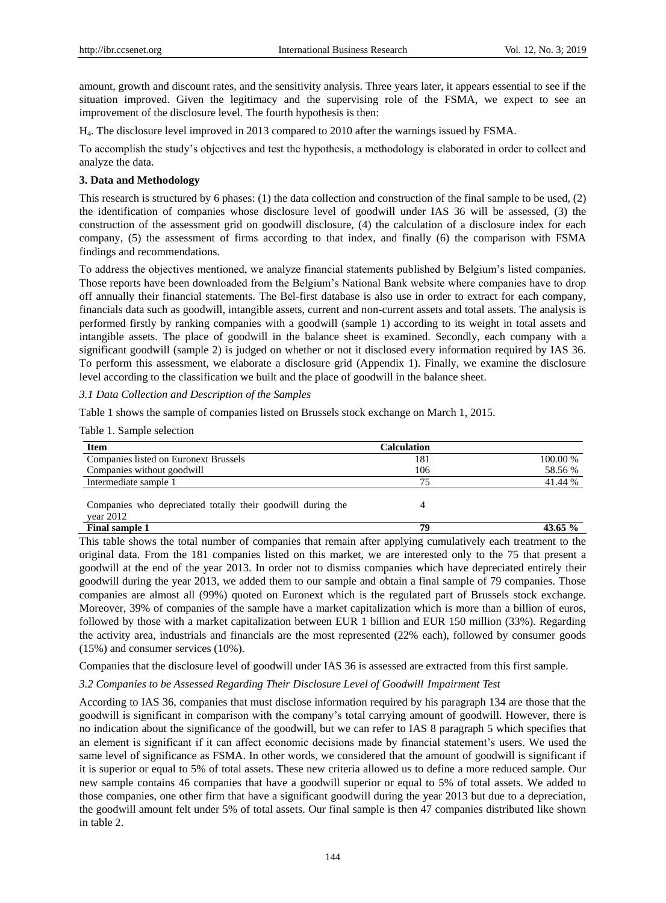amount, growth and discount rates, and the sensitivity analysis. Three years later, it appears essential to see if the situation improved. Given the legitimacy and the supervising role of the FSMA, we expect to see an improvement of the disclosure level. The fourth hypothesis is then:

H4. The disclosure level improved in 2013 compared to 2010 after the warnings issued by FSMA.

To accomplish the study's objectives and test the hypothesis, a methodology is elaborated in order to collect and analyze the data.

## **3. Data and Methodology**

This research is structured by 6 phases: (1) the data collection and construction of the final sample to be used, (2) the identification of companies whose disclosure level of goodwill under IAS 36 will be assessed, (3) the construction of the assessment grid on goodwill disclosure, (4) the calculation of a disclosure index for each company, (5) the assessment of firms according to that index, and finally (6) the comparison with FSMA findings and recommendations.

To address the objectives mentioned, we analyze financial statements published by Belgium's listed companies. Those reports have been downloaded from the Belgium's National Bank website where companies have to drop off annually their financial statements. The Bel-first database is also use in order to extract for each company, financials data such as goodwill, intangible assets, current and non-current assets and total assets. The analysis is performed firstly by ranking companies with a goodwill (sample 1) according to its weight in total assets and intangible assets. The place of goodwill in the balance sheet is examined. Secondly, each company with a significant goodwill (sample 2) is judged on whether or not it disclosed every information required by IAS 36. To perform this assessment, we elaborate a disclosure grid (Appendix 1). Finally, we examine the disclosure level according to the classification we built and the place of goodwill in the balance sheet.

## *3.1 Data Collection and Description of the Samples*

Table 1 shows the sample of companies listed on Brussels stock exchange on March 1, 2015.

Table 1. Sample selection

| <b>Item</b>                                                              | <b>Calculation</b> |            |
|--------------------------------------------------------------------------|--------------------|------------|
| Companies listed on Euronext Brussels                                    | 181                | 100.00 %   |
| Companies without goodwill                                               | 106                | 58.56 %    |
| Intermediate sample 1                                                    | 75                 | 41.44 %    |
| Companies who depreciated totally their goodwill during the<br>year 2012 |                    |            |
| Final sample 1                                                           | 79                 | $43.65 \%$ |

This table shows the total number of companies that remain after applying cumulatively each treatment to the original data. From the 181 companies listed on this market, we are interested only to the 75 that present a goodwill at the end of the year 2013. In order not to dismiss companies which have depreciated entirely their goodwill during the year 2013, we added them to our sample and obtain a final sample of 79 companies. Those companies are almost all (99%) quoted on Euronext which is the regulated part of Brussels stock exchange. Moreover, 39% of companies of the sample have a market capitalization which is more than a billion of euros, followed by those with a market capitalization between EUR 1 billion and EUR 150 million (33%). Regarding the activity area, industrials and financials are the most represented (22% each), followed by consumer goods (15%) and consumer services (10%).

Companies that the disclosure level of goodwill under IAS 36 is assessed are extracted from this first sample.

## *3.2 Companies to be Assessed Regarding Their Disclosure Level of Goodwill Impairment Test*

According to IAS 36, companies that must disclose information required by his paragraph 134 are those that the goodwill is significant in comparison with the company's total carrying amount of goodwill. However, there is no indication about the significance of the goodwill, but we can refer to IAS 8 paragraph 5 which specifies that an element is significant if it can affect economic decisions made by financial statement's users. We used the same level of significance as FSMA. In other words, we considered that the amount of goodwill is significant if it is superior or equal to 5% of total assets. These new criteria allowed us to define a more reduced sample. Our new sample contains 46 companies that have a goodwill superior or equal to 5% of total assets. We added to those companies, one other firm that have a significant goodwill during the year 2013 but due to a depreciation, the goodwill amount felt under 5% of total assets. Our final sample is then 47 companies distributed like shown in table 2.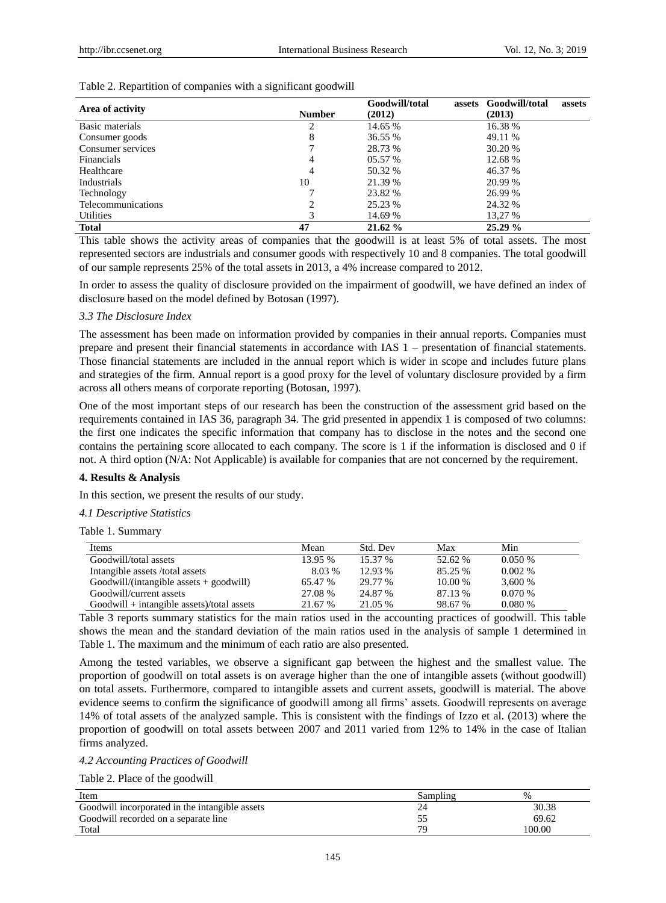|  | Table 2. Repartition of companies with a significant goodwill |  |  |  |
|--|---------------------------------------------------------------|--|--|--|
|  |                                                               |  |  |  |

|                    |               | Goodwill/total | assets Goodwill/total<br>assets |
|--------------------|---------------|----------------|---------------------------------|
| Area of activity   | <b>Number</b> | (2012)         | (2013)                          |
| Basic materials    |               | 14.65 %        | 16.38 %                         |
| Consumer goods     | 8             | 36.55 %        | 49.11 %                         |
| Consumer services  |               | 28.73 %        | 30.20 %                         |
| Financials         | 4             | 05.57 %        | 12.68 %                         |
| Healthcare         | 4             | 50.32 %        | 46.37 %                         |
| Industrials        | 10            | 21.39 %        | 20.99 %                         |
| Technology         |               | 23.82 %        | 26.99 %                         |
| Telecommunications |               | 25.23 %        | 24.32 %                         |
| <b>Utilities</b>   |               | 14.69 %        | 13,27 %                         |
| <b>Total</b>       | 47            | 21.62 %        | 25.29 %                         |

This table shows the activity areas of companies that the goodwill is at least 5% of total assets. The most represented sectors are industrials and consumer goods with respectively 10 and 8 companies. The total goodwill of our sample represents 25% of the total assets in 2013, a 4% increase compared to 2012.

In order to assess the quality of disclosure provided on the impairment of goodwill, we have defined an index of disclosure based on the model defined by Botosan (1997).

#### *3.3 The Disclosure Index*

The assessment has been made on information provided by companies in their annual reports. Companies must prepare and present their financial statements in accordance with IAS 1 – presentation of financial statements. Those financial statements are included in the annual report which is wider in scope and includes future plans and strategies of the firm. Annual report is a good proxy for the level of voluntary disclosure provided by a firm across all others means of corporate reporting (Botosan, 1997).

One of the most important steps of our research has been the construction of the assessment grid based on the requirements contained in IAS 36, paragraph 34. The grid presented in appendix 1 is composed of two columns: the first one indicates the specific information that company has to disclose in the notes and the second one contains the pertaining score allocated to each company. The score is 1 if the information is disclosed and 0 if not. A third option (N/A: Not Applicable) is available for companies that are not concerned by the requirement.

#### **4. Results & Analysis**

In this section, we present the results of our study.

#### *4.1 Descriptive Statistics*

Table 1. Summary

| Items                                        | Mean    | Std. Dev | Max     | Min       |
|----------------------------------------------|---------|----------|---------|-----------|
| Goodwill/total assets                        | 13.95 % | 15.37 %  | 52.62 % | 0.050%    |
| Intangible assets /total assets              | 8.03 %  | 12.93 %  | 85.25 % | $0.002\%$ |
| $Goodwill/(intangible assets + goodwill)$    | 65.47 % | 29.77 %  | 10.00 % | 3,600 %   |
| Goodwill/current assets                      | 27.08 % | 24.87 %  | 87.13 % | 0.070%    |
| $Goodwill + intangible assets)/total assets$ | 21.67 % | 21.05 %  | 98.67 % | 0.080%    |

Table 3 reports summary statistics for the main ratios used in the accounting practices of goodwill. This table shows the mean and the standard deviation of the main ratios used in the analysis of sample 1 determined in Table 1. The maximum and the minimum of each ratio are also presented.

Among the tested variables, we observe a significant gap between the highest and the smallest value. The proportion of goodwill on total assets is on average higher than the one of intangible assets (without goodwill) on total assets. Furthermore, compared to intangible assets and current assets, goodwill is material. The above evidence seems to confirm the significance of goodwill among all firms' assets. Goodwill represents on average 14% of total assets of the analyzed sample. This is consistent with the findings of Izzo et al. (2013) where the proportion of goodwill on total assets between 2007 and 2011 varied from 12% to 14% in the case of Italian firms analyzed.

*4.2 Accounting Practices of Goodwill*

Table 2. Place of the goodwill

| Item                                           | Sampling | $\%$   |
|------------------------------------------------|----------|--------|
| Goodwill incorporated in the intangible assets | 4        | 30.38  |
| Goodwill recorded on a separate line           |          | 69.62  |
| Total                                          | 70       | 100.00 |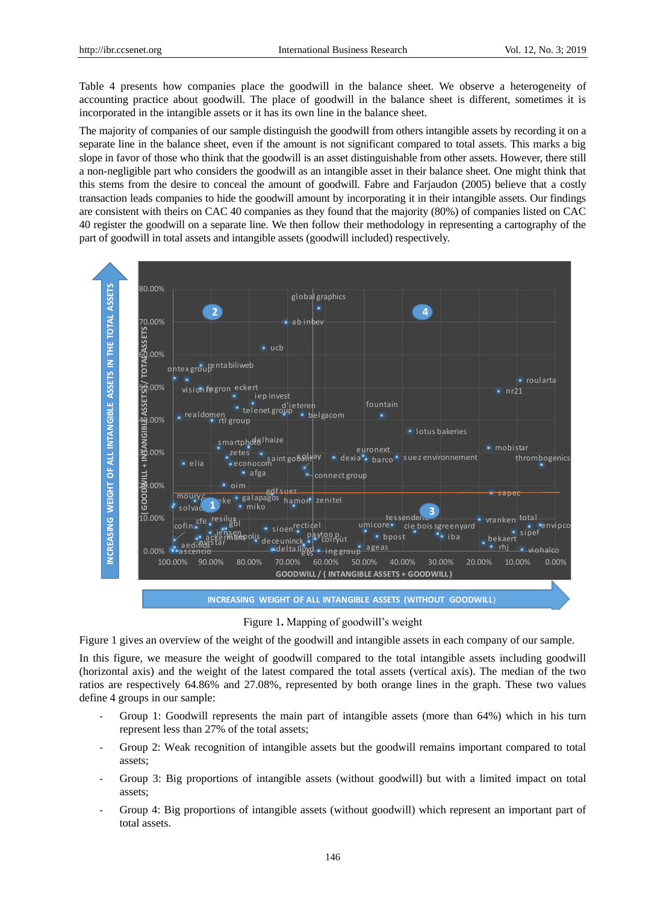Table 4 presents how companies place the goodwill in the balance sheet. We observe a heterogeneity of accounting practice about goodwill. The place of goodwill in the balance sheet is different, sometimes it is incorporated in the intangible assets or it has its own line in the balance sheet.

The majority of companies of our sample distinguish the goodwill from others intangible assets by recording it on a separate line in the balance sheet, even if the amount is not significant compared to total assets. This marks a big slope in favor of those who think that the goodwill is an asset distinguishable from other assets. However, there still a non-negligible part who considers the goodwill as an intangible asset in their balance sheet. One might think that this stems from the desire to conceal the amount of goodwill. Fabre and Farjaudon (2005) believe that a costly transaction leads companies to hide the goodwill amount by incorporating it in their intangible assets. Our findings are consistent with theirs on CAC 40 companies as they found that the majority (80%) of companies listed on CAC 40 register the goodwill on a separate line. We then follow their methodology in representing a cartography of the part of goodwill in total assets and intangible assets (goodwill included) respectively.



Figure 1**.** Mapping of goodwill's weight

Figure 1 gives an overview of the weight of the goodwill and intangible assets in each company of our sample.

In this figure, we measure the weight of goodwill compared to the total intangible assets including goodwill (horizontal axis) and the weight of the latest compared the total assets (vertical axis). The median of the two ratios are respectively 64.86% and 27.08%, represented by both orange lines in the graph. These two values define 4 groups in our sample:

- Group 1: Goodwill represents the main part of intangible assets (more than 64%) which in his turn represent less than 27% of the total assets;
- Group 2: Weak recognition of intangible assets but the goodwill remains important compared to total assets;
- Group 3: Big proportions of intangible assets (without goodwill) but with a limited impact on total assets;
- Group 4: Big proportions of intangible assets (without goodwill) which represent an important part of total assets.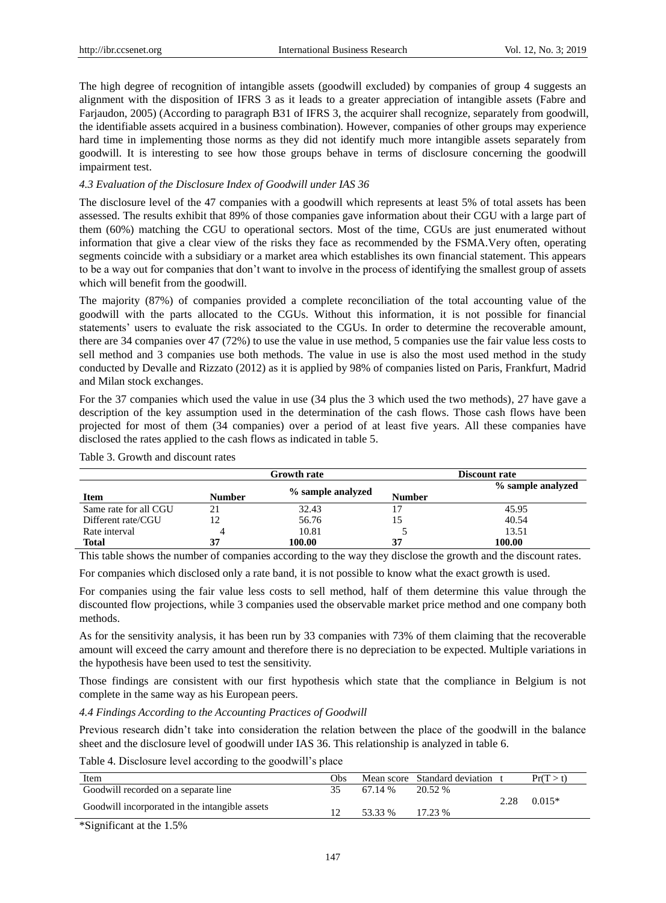The high degree of recognition of intangible assets (goodwill excluded) by companies of group 4 suggests an alignment with the disposition of IFRS 3 as it leads to a greater appreciation of intangible assets (Fabre and Farjaudon, 2005) (According to paragraph B31 of IFRS 3, the acquirer shall recognize, separately from goodwill, the identifiable assets acquired in a business combination). However, companies of other groups may experience hard time in implementing those norms as they did not identify much more intangible assets separately from goodwill. It is interesting to see how those groups behave in terms of disclosure concerning the goodwill impairment test.

#### *4.3 Evaluation of the Disclosure Index of Goodwill under IAS 36*

The disclosure level of the 47 companies with a goodwill which represents at least 5% of total assets has been assessed. The results exhibit that 89% of those companies gave information about their CGU with a large part of them (60%) matching the CGU to operational sectors. Most of the time, CGUs are just enumerated without information that give a clear view of the risks they face as recommended by the FSMA.Very often, operating segments coincide with a subsidiary or a market area which establishes its own financial statement. This appears to be a way out for companies that don't want to involve in the process of identifying the smallest group of assets which will benefit from the goodwill.

The majority (87%) of companies provided a complete reconciliation of the total accounting value of the goodwill with the parts allocated to the CGUs. Without this information, it is not possible for financial statements' users to evaluate the risk associated to the CGUs. In order to determine the recoverable amount, there are 34 companies over 47 (72%) to use the value in use method, 5 companies use the fair value less costs to sell method and 3 companies use both methods. The value in use is also the most used method in the study conducted by Devalle and Rizzato (2012) as it is applied by 98% of companies listed on Paris, Frankfurt, Madrid and Milan stock exchanges.

For the 37 companies which used the value in use (34 plus the 3 which used the two methods), 27 have gave a description of the key assumption used in the determination of the cash flows. Those cash flows have been projected for most of them (34 companies) over a period of at least five years. All these companies have disclosed the rates applied to the cash flows as indicated in table 5.

|                       |               | <b>Growth rate</b> |        | <b>Discount rate</b> |
|-----------------------|---------------|--------------------|--------|----------------------|
|                       |               | % sample analyzed  |        | % sample analyzed    |
| Item                  | <b>Number</b> |                    | Number |                      |
| Same rate for all CGU | 21            | 32.43              |        | 45.95                |
| Different rate/CGU    |               | 56.76              |        | 40.54                |
| Rate interval         |               | 10.81              |        | 13.51                |
| Total                 | 37            | 100.00             | 37     | 100.00               |

Table 3. Growth and discount rates

This table shows the number of companies according to the way they disclose the growth and the discount rates.

For companies which disclosed only a rate band, it is not possible to know what the exact growth is used.

For companies using the fair value less costs to sell method, half of them determine this value through the discounted flow projections, while 3 companies used the observable market price method and one company both methods.

As for the sensitivity analysis, it has been run by 33 companies with 73% of them claiming that the recoverable amount will exceed the carry amount and therefore there is no depreciation to be expected. Multiple variations in the hypothesis have been used to test the sensitivity.

Those findings are consistent with our first hypothesis which state that the compliance in Belgium is not complete in the same way as his European peers.

#### *4.4 Findings According to the Accounting Practices of Goodwill*

Previous research didn't take into consideration the relation between the place of the goodwill in the balance sheet and the disclosure level of goodwill under IAS 36. This relationship is analyzed in table 6.

Table 4. Disclosure level according to the goodwill's place

| Item                                           | 7bs |         | Mean score Standard deviation | Pr(T > t) |
|------------------------------------------------|-----|---------|-------------------------------|-----------|
| Goodwill recorded on a separate line           |     | 67.14 % | 20.52 %                       |           |
| Goodwill incorporated in the intangible assets |     | 53.33 % | 17.23 %                       | $0.015*$  |
|                                                |     |         |                               |           |

\*Significant at the 1.5%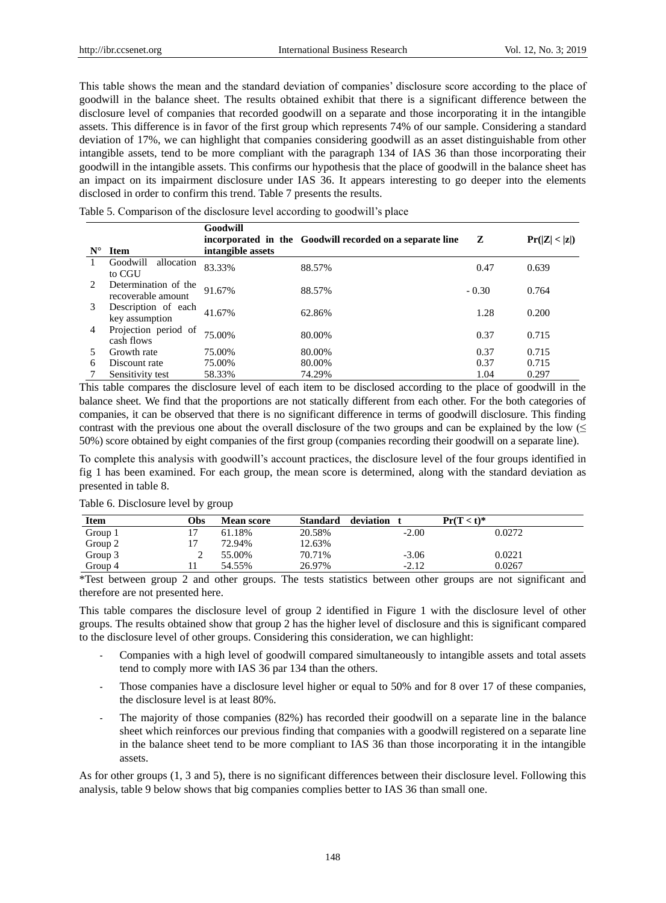This table shows the mean and the standard deviation of companies' disclosure score according to the place of goodwill in the balance sheet. The results obtained exhibit that there is a significant difference between the disclosure level of companies that recorded goodwill on a separate and those incorporating it in the intangible assets. This difference is in favor of the first group which represents 74% of our sample. Considering a standard deviation of 17%, we can highlight that companies considering goodwill as an asset distinguishable from other intangible assets, tend to be more compliant with the paragraph 134 of IAS 36 than those incorporating their goodwill in the intangible assets. This confirms our hypothesis that the place of goodwill in the balance sheet has an impact on its impairment disclosure under IAS 36. It appears interesting to go deeper into the elements disclosed in order to confirm this trend. Table 7 presents the results.

|  | Table 5. Comparison of the disclosure level according to goodwill's place |  |  |
|--|---------------------------------------------------------------------------|--|--|
|  |                                                                           |  |  |

| $N^{\circ}$ | <b>Item</b>                                | Goodwill<br>intangible assets | incorporated in the Goodwill recorded on a separate line | Z       | Pr( Z  <  z ) |
|-------------|--------------------------------------------|-------------------------------|----------------------------------------------------------|---------|---------------|
|             | Goodwill<br>allocation<br>to CGU           | 83.33%                        | 88.57%                                                   | 0.47    | 0.639         |
| 2           | Determination of the<br>recoverable amount | 91.67%                        | 88.57%                                                   | $-0.30$ | 0.764         |
| 3           | Description of each<br>key assumption      | 41.67%                        | 62.86%                                                   | 1.28    | 0.200         |
| 4           | Projection period of<br>cash flows         | 75.00%                        | 80.00%                                                   | 0.37    | 0.715         |
|             | Growth rate                                | 75.00%                        | 80.00%                                                   | 0.37    | 0.715         |
| 6           | Discount rate                              | 75.00%                        | 80.00%                                                   | 0.37    | 0.715         |
|             | Sensitivity test                           | 58.33%                        | 74.29%                                                   | 1.04    | 0.297         |

This table compares the disclosure level of each item to be disclosed according to the place of goodwill in the balance sheet. We find that the proportions are not statically different from each other. For the both categories of companies, it can be observed that there is no significant difference in terms of goodwill disclosure. This finding contrast with the previous one about the overall disclosure of the two groups and can be explained by the low  $(\leq$ 50%) score obtained by eight companies of the first group (companies recording their goodwill on a separate line).

To complete this analysis with goodwill's account practices, the disclosure level of the four groups identified in fig 1 has been examined. For each group, the mean score is determined, along with the standard deviation as presented in table 8.

| <b>Item</b> | <b>Obs</b>     | <b>Mean score</b> | <b>Standard</b> | deviation | $Pr(T < t)^*$ |
|-------------|----------------|-------------------|-----------------|-----------|---------------|
| Group 1     |                | 61.18%            | 20.58%          | $-2.00$   | 0.0272        |
| Group 2     | $\overline{ }$ | 72.94%            | 12.63%          |           |               |
| Group 3     |                | 55.00%            | 70.71%          | $-3.06$   | 0.0221        |
| Group 4     |                | 54.55%            | 26.97%          | $-2.12$   | 0.0267        |

#### Table 6. Disclosure level by group

\*Test between group 2 and other groups. The tests statistics between other groups are not significant and therefore are not presented here.

This table compares the disclosure level of group 2 identified in Figure 1 with the disclosure level of other groups. The results obtained show that group 2 has the higher level of disclosure and this is significant compared to the disclosure level of other groups. Considering this consideration, we can highlight:

- Companies with a high level of goodwill compared simultaneously to intangible assets and total assets tend to comply more with IAS 36 par 134 than the others.
- Those companies have a disclosure level higher or equal to 50% and for 8 over 17 of these companies, the disclosure level is at least 80%.
- The majority of those companies (82%) has recorded their goodwill on a separate line in the balance sheet which reinforces our previous finding that companies with a goodwill registered on a separate line in the balance sheet tend to be more compliant to IAS 36 than those incorporating it in the intangible assets.

As for other groups (1, 3 and 5), there is no significant differences between their disclosure level. Following this analysis, table 9 below shows that big companies complies better to IAS 36 than small one.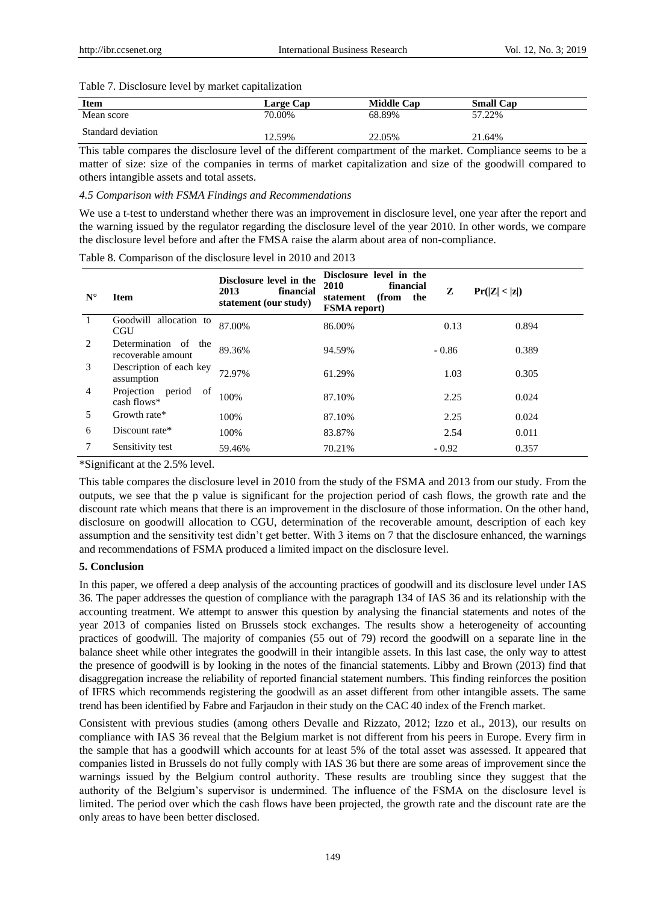#### Table 7. Disclosure level by market capitalization

| <b>Item</b>        | <b>Large Cap</b> | <b>Middle Cap</b> | <b>Small Cap</b> |
|--------------------|------------------|-------------------|------------------|
| Mean score         | 70.00%           | 68.89%            | 57.22%           |
| Standard deviation | 12.59%           | 22.05%            | 21.64%           |

This table compares the disclosure level of the different compartment of the market. Compliance seems to be a matter of size: size of the companies in terms of market capitalization and size of the goodwill compared to others intangible assets and total assets.

#### *4.5 Comparison with FSMA Findings and Recommendations*

We use a t-test to understand whether there was an improvement in disclosure level, one year after the report and the warning issued by the regulator regarding the disclosure level of the year 2010. In other words, we compare the disclosure level before and after the FMSA raise the alarm about area of non-compliance.

| $N^{\circ}$ | <b>Item</b>                                   | Disclosure level in the<br>2013<br>financial<br>statement (our study) | Disclosure level in the<br>2010<br>financial<br>(from<br>statement<br>the<br><b>FSMA</b> report) | Z       | Pr( Z  <  z ) |
|-------------|-----------------------------------------------|-----------------------------------------------------------------------|--------------------------------------------------------------------------------------------------|---------|---------------|
|             | Goodwill allocation to<br><b>CGU</b>          | 87.00%                                                                | 86.00%                                                                                           | 0.13    | 0.894         |
| 2           | Determination of<br>the<br>recoverable amount | 89.36%                                                                | 94.59%                                                                                           | $-0.86$ | 0.389         |
| 3           | Description of each key<br>assumption         | 72.97%                                                                | 61.29%                                                                                           | 1.03    | 0.305         |
| 4           | of<br>Projection<br>period<br>cash flows*     | 100%                                                                  | 87.10%                                                                                           | 2.25    | 0.024         |
| 5           | Growth rate*                                  | 100%                                                                  | 87.10%                                                                                           | 2.25    | 0.024         |
| 6           | Discount rate*                                | 100%                                                                  | 83.87%                                                                                           | 2.54    | 0.011         |
|             | Sensitivity test                              | 59.46%                                                                | 70.21%                                                                                           | $-0.92$ | 0.357         |

Table 8. Comparison of the disclosure level in 2010 and 2013

\*Significant at the 2.5% level.

This table compares the disclosure level in 2010 from the study of the FSMA and 2013 from our study. From the outputs, we see that the p value is significant for the projection period of cash flows, the growth rate and the discount rate which means that there is an improvement in the disclosure of those information. On the other hand, disclosure on goodwill allocation to CGU, determination of the recoverable amount, description of each key assumption and the sensitivity test didn't get better. With 3 items on 7 that the disclosure enhanced, the warnings and recommendations of FSMA produced a limited impact on the disclosure level.

#### **5. Conclusion**

In this paper, we offered a deep analysis of the accounting practices of goodwill and its disclosure level under IAS 36. The paper addresses the question of compliance with the paragraph 134 of IAS 36 and its relationship with the accounting treatment. We attempt to answer this question by analysing the financial statements and notes of the year 2013 of companies listed on Brussels stock exchanges. The results show a heterogeneity of accounting practices of goodwill. The majority of companies (55 out of 79) record the goodwill on a separate line in the balance sheet while other integrates the goodwill in their intangible assets. In this last case, the only way to attest the presence of goodwill is by looking in the notes of the financial statements. Libby and Brown (2013) find that disaggregation increase the reliability of reported financial statement numbers. This finding reinforces the position of IFRS which recommends registering the goodwill as an asset different from other intangible assets. The same trend has been identified by Fabre and Farjaudon in their study on the CAC 40 index of the French market.

Consistent with previous studies (among others Devalle and Rizzato, 2012; Izzo et al., 2013), our results on compliance with IAS 36 reveal that the Belgium market is not different from his peers in Europe. Every firm in the sample that has a goodwill which accounts for at least 5% of the total asset was assessed. It appeared that companies listed in Brussels do not fully comply with IAS 36 but there are some areas of improvement since the warnings issued by the Belgium control authority. These results are troubling since they suggest that the authority of the Belgium's supervisor is undermined. The influence of the FSMA on the disclosure level is limited. The period over which the cash flows have been projected, the growth rate and the discount rate are the only areas to have been better disclosed.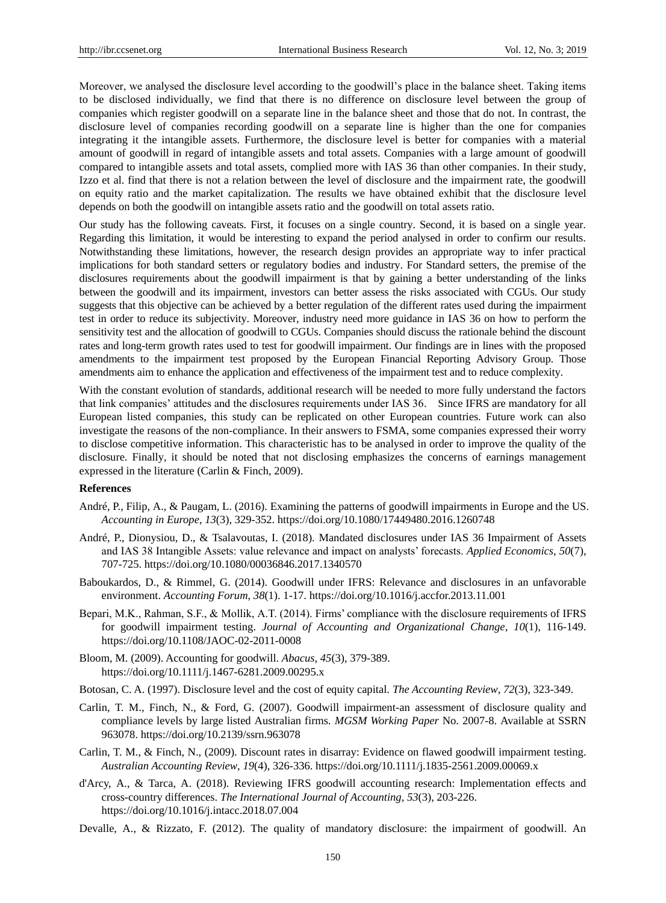Moreover, we analysed the disclosure level according to the goodwill's place in the balance sheet. Taking items to be disclosed individually, we find that there is no difference on disclosure level between the group of companies which register goodwill on a separate line in the balance sheet and those that do not. In contrast, the disclosure level of companies recording goodwill on a separate line is higher than the one for companies integrating it the intangible assets. Furthermore, the disclosure level is better for companies with a material amount of goodwill in regard of intangible assets and total assets. Companies with a large amount of goodwill compared to intangible assets and total assets, complied more with IAS 36 than other companies. In their study, Izzo et al. find that there is not a relation between the level of disclosure and the impairment rate, the goodwill on equity ratio and the market capitalization. The results we have obtained exhibit that the disclosure level depends on both the goodwill on intangible assets ratio and the goodwill on total assets ratio.

Our study has the following caveats. First, it focuses on a single country. Second, it is based on a single year. Regarding this limitation, it would be interesting to expand the period analysed in order to confirm our results. Notwithstanding these limitations, however, the research design provides an appropriate way to infer practical implications for both standard setters or regulatory bodies and industry. For Standard setters, the premise of the disclosures requirements about the goodwill impairment is that by gaining a better understanding of the links between the goodwill and its impairment, investors can better assess the risks associated with CGUs. Our study suggests that this objective can be achieved by a better regulation of the different rates used during the impairment test in order to reduce its subjectivity. Moreover, industry need more guidance in IAS 36 on how to perform the sensitivity test and the allocation of goodwill to CGUs. Companies should discuss the rationale behind the discount rates and long-term growth rates used to test for goodwill impairment. Our findings are in lines with the proposed amendments to the impairment test proposed by the European Financial Reporting Advisory Group. Those amendments aim to enhance the application and effectiveness of the impairment test and to reduce complexity.

With the constant evolution of standards, additional research will be needed to more fully understand the factors that link companies' attitudes and the disclosures requirements under IAS 36. Since IFRS are mandatory for all European listed companies, this study can be replicated on other European countries. Future work can also investigate the reasons of the non-compliance. In their answers to FSMA, some companies expressed their worry to disclose competitive information. This characteristic has to be analysed in order to improve the quality of the disclosure. Finally, it should be noted that not disclosing emphasizes the concerns of earnings management expressed in the literature (Carlin & Finch, 2009).

## **References**

- André, P., Filip, A., & Paugam, L. (2016). Examining the patterns of goodwill impairments in Europe and the US. *Accounting in Europe*, *13*(3), 329-352. https://doi.org/10.1080/17449480.2016.1260748
- André, P., Dionysiou, D., & Tsalavoutas, I. (2018). Mandated disclosures under IAS 36 Impairment of Assets and IAS 38 Intangible Assets: value relevance and impact on analysts' forecasts. *Applied Economics, 50*(7), 707-725. https://doi.org/10.1080/00036846.2017.1340570
- Baboukardos, D., & Rimmel, G. (2014). Goodwill under IFRS: Relevance and disclosures in an unfavorable environment. *Accounting Forum*, *38*(1). 1-17. https://doi.org/10.1016/j.accfor.2013.11.001
- Bepari, M.K., Rahman, S.F., & Mollik, A.T. (2014). Firms' compliance with the disclosure requirements of IFRS for goodwill impairment testing. *Journal of Accounting and Organizational Change*, *10*(1), 116-149. https://doi.org/10.1108/JAOC-02-2011-0008
- Bloom, M. (2009). Accounting for goodwill. *Abacus*, *45*(3), 379-389. https://doi.org/10.1111/j.1467-6281.2009.00295.x
- Botosan, C. A. (1997). Disclosure level and the cost of equity capital. *The Accounting Review*, *72*(3), 323-349.
- Carlin, T. M., Finch, N., & Ford, G. (2007). Goodwill impairment-an assessment of disclosure quality and compliance levels by large listed Australian firms. *MGSM Working Paper* No. 2007-8. Available at SSRN 963078. https://doi.org/10.2139/ssrn.963078
- Carlin, T. M., & Finch, N., (2009). Discount rates in disarray: Evidence on flawed goodwill impairment testing. *Australian Accounting Review*, *19*(4), 326-336. https://doi.org/10.1111/j.1835-2561.2009.00069.x
- d'Arcy, A., & Tarca, A. (2018). Reviewing IFRS goodwill accounting research: Implementation effects and cross-country differences. *The International Journal of Accounting*, *53*(3), 203-226. https://doi.org/10.1016/j.intacc.2018.07.004
- Devalle, A., & Rizzato, F. (2012). The quality of mandatory disclosure: the impairment of goodwill. An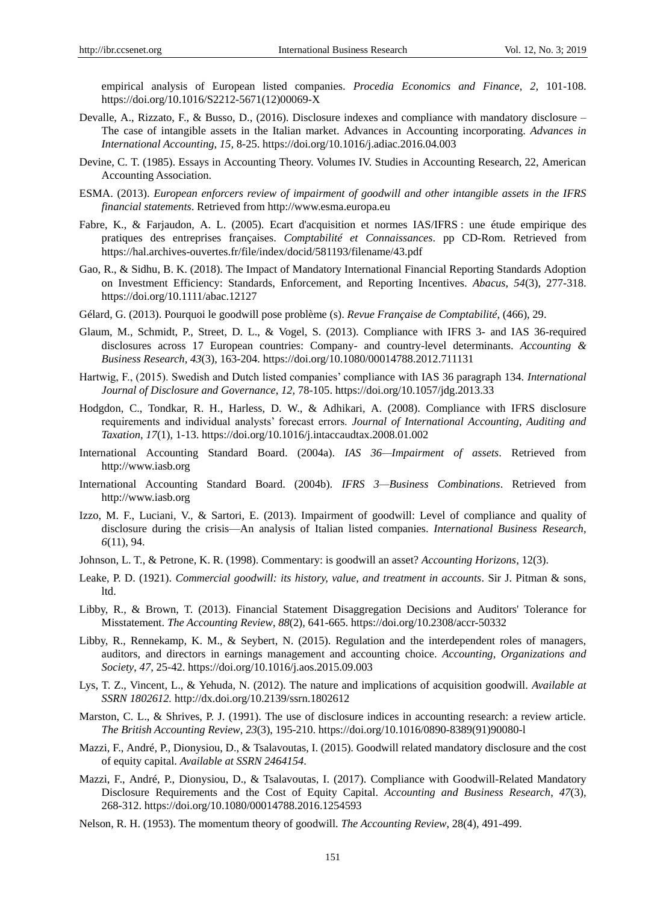empirical analysis of European listed companies. *Procedia Economics and Finance*, *2,* 101-108. https://doi.org/10.1016/S2212-5671(12)00069-X

- Devalle, A., Rizzato, F., & Busso, D., (2016). Disclosure indexes and compliance with mandatory disclosure The case of intangible assets in the Italian market. Advances in Accounting incorporating. *Advances in International Accounting*, *15,* 8-25. https://doi.org/10.1016/j.adiac.2016.04.003
- Devine, C. T. (1985). Essays in Accounting Theory. Volumes IV. Studies in Accounting Research, 22, American Accounting Association.
- ESMA. (2013). *European enforcers review of impairment of goodwill and other intangible assets in the IFRS financial statements*. Retrieved from http://www.esma.europa.eu
- Fabre, K., & Farjaudon, A. L. (2005). Ecart d'acquisition et normes IAS/IFRS : une étude empirique des pratiques des entreprises françaises. *Comptabilité et Connaissances*. pp CD-Rom. Retrieved from https://hal.archives-ouvertes.fr/file/index/docid/581193/filename/43.pdf
- Gao, R., & Sidhu, B. K. (2018). The Impact of Mandatory International Financial Reporting Standards Adoption on Investment Efficiency: Standards, Enforcement, and Reporting Incentives. *Abacus*, *54*(3), 277-318. https://doi.org/10.1111/abac.12127
- Gélard, G. (2013). Pourquoi le goodwill pose problème (s). *Revue Française de Comptabilité*, (466), 29.
- Glaum, M., Schmidt, P., Street, D. L., & Vogel, S. (2013). Compliance with IFRS 3- and IAS 36-required disclosures across 17 European countries: Company- and country-level determinants. *Accounting & Business Research*, *43*(3), 163-204. https://doi.org/10.1080/00014788.2012.711131
- Hartwig, F., (2015). Swedish and Dutch listed companies' compliance with IAS 36 paragraph 134. *International Journal of Disclosure and Governance*, *12,* 78-105. https://doi.org/10.1057/jdg.2013.33
- Hodgdon, C., Tondkar, R. H., Harless, D. W., & Adhikari, A. (2008). Compliance with IFRS disclosure requirements and individual analysts' forecast errors. *Journal of International Accounting, Auditing and Taxation*, *17*(1), 1-13. https://doi.org/10.1016/j.intaccaudtax.2008.01.002
- International Accounting Standard Board. (2004a). *IAS 36—Impairment of assets*. Retrieved from http://www.iasb.org
- International Accounting Standard Board. (2004b). *IFRS 3—Business Combinations*. Retrieved from http://www.iasb.org
- Izzo, M. F., Luciani, V., & Sartori, E. (2013). Impairment of goodwill: Level of compliance and quality of disclosure during the crisis—An analysis of Italian listed companies. *International Business Research*, *6*(11), 94.
- Johnson, L. T., & Petrone, K. R. (1998). Commentary: is goodwill an asset? *Accounting Horizons*, 12(3).
- Leake, P. D. (1921). *Commercial goodwill: its history, value, and treatment in accounts*. Sir J. Pitman & sons, ltd.
- Libby, R., & Brown, T. (2013). Financial Statement Disaggregation Decisions and Auditors' Tolerance for Misstatement. *The Accounting Review*, *88*(2), 641-665. https://doi.org/10.2308/accr-50332
- Libby, R., Rennekamp, K. M., & Seybert, N. (2015). Regulation and the interdependent roles of managers, auditors, and directors in earnings management and accounting choice. *Accounting, Organizations and Society*, *47,* 25-42. https://doi.org/10.1016/j.aos.2015.09.003
- Lys, T. Z., Vincent, L., & Yehuda, N. (2012). The nature and implications of acquisition goodwill. *Available at SSRN 1802612.* http://dx.doi.org/10.2139/ssrn.1802612
- Marston, C. L., & Shrives, P. J. (1991). The use of disclosure indices in accounting research: a review article. *The British Accounting Review*, *23*(3), 195-210. https://doi.org/10.1016/0890-8389(91)90080-l
- Mazzi, F., Andr & P., Dionysiou, D., & Tsalavoutas, I. (2015). Goodwill related mandatory disclosure and the cost of equity capital. *Available at SSRN 2464154*.
- Mazzi, F., André, P., Dionysiou, D., & Tsalavoutas, I. (2017). Compliance with Goodwill-Related Mandatory Disclosure Requirements and the Cost of Equity Capital. *Accounting and Business Research*, *47*(3), 268-312. https://doi.org/10.1080/00014788.2016.1254593
- Nelson, R. H. (1953). The momentum theory of goodwill. *The Accounting Review*, 28(4), 491-499.